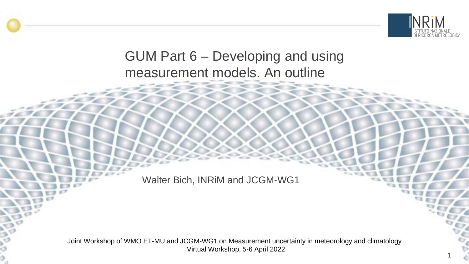

### GUM Part 6 – Developing and using measurement models. An outline

Walter Bich, INRiM and JCGM-WG1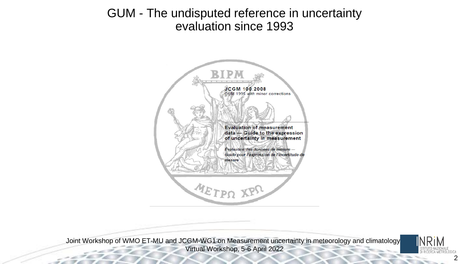#### GUM - The undisputed reference in uncertainty evaluation since 1993



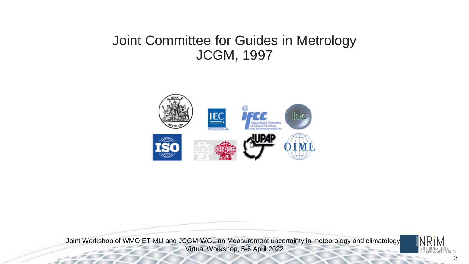#### Joint Committee for Guides in Metrology JCGM, 1997



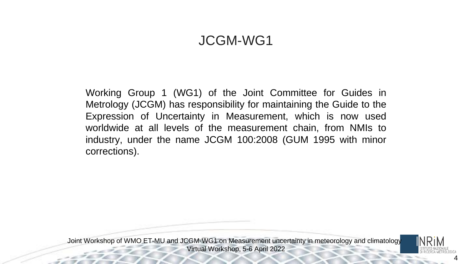#### JCGM-WG1

Working Group 1 (WG1) of the Joint Committee for Guides in Metrology (JCGM) has responsibility for maintaining the Guide to the Expression of Uncertainty in Measurement, which is now used worldwide at all levels of the measurement chain, from NMIs to industry, under the name JCGM 100:2008 (GUM 1995 with minor corrections).

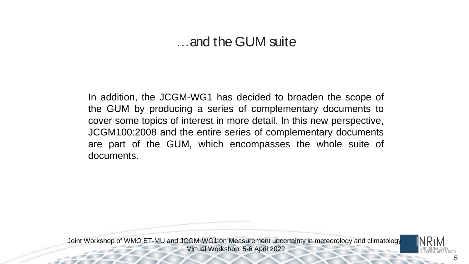#### …and the GUM suite

In addition, the JCGM-WG1 has decided to broaden the scope of the GUM by producing a series of complementary documents to cover some topics of interest in more detail. In this new perspective, JCGM100:2008 and the entire series of complementary documents are part of the GUM, which encompasses the whole suite of documents.

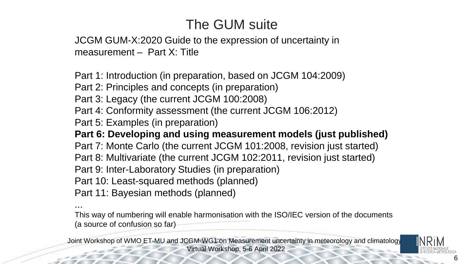# The GUM suite

JCGM GUM-X:2020 Guide to the expression of uncertainty in measurement – Part X: Title

Part 1: Introduction (in preparation, based on JCGM 104:2009)

Part 2: Principles and concepts (in preparation)

Part 3: Legacy (the current JCGM 100:2008)

Part 4: Conformity assessment (the current JCGM 106:2012)

Part 5: Examples (in preparation)

**Part 6: Developing and using measurement models (just published)** Part 7: Monte Carlo (the current JCGM 101:2008, revision just started) Part 8: Multivariate (the current JCGM 102:2011, revision just started) Part 9: Inter-Laboratory Studies (in preparation) Part 10: Least-squared methods (planned)

Part 11: Bayesian methods (planned)

... This way of numbering will enable harmonisation with the ISO/IEC version of the documents (a source of confusion so far)

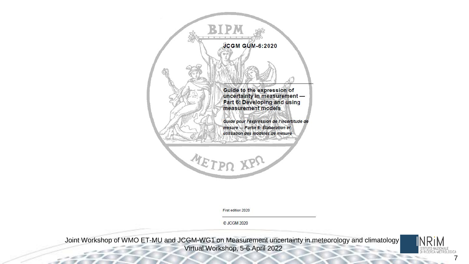

First edition 2020

C JCGM 2020

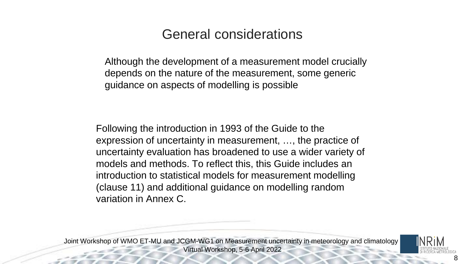### General considerations

Although the development of a measurement model crucially depends on the nature of the measurement, some generic guidance on aspects of modelling is possible

Following the introduction in 1993 of the Guide to the expression of uncertainty in measurement, …, the practice of uncertainty evaluation has broadened to use a wider variety of models and methods. To reflect this, this Guide includes an introduction to statistical models for measurement modelling (clause 11) and additional guidance on modelling random variation in Annex C.

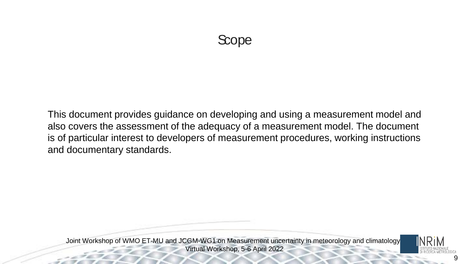### Scope

This document provides guidance on developing and using a measurement model and also covers the assessment of the adequacy of a measurement model. The document is of particular interest to developers of measurement procedures, working instructions and documentary standards.

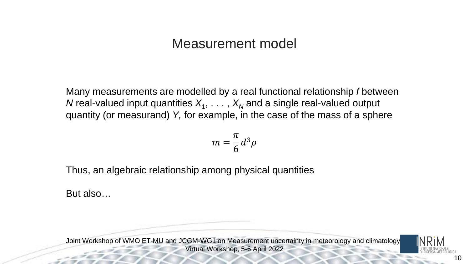#### Measurement model

Many measurements are modelled by a real functional relationship *f* between *N* real-valued input quantities  $X_1, \ldots, X_N$  and a single real-valued output quantity (or measurand) *Y,* for example, in the case of the mass of a sphere

$$
m = \frac{\pi}{6} d^3 \rho
$$

Thus, an algebraic relationship among physical quantities

But also…

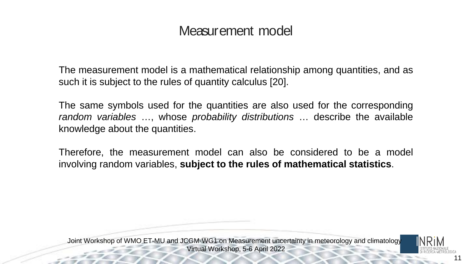### Measurement model

The measurement model is a mathematical relationship among quantities, and as such it is subject to the rules of quantity calculus [20].

The same symbols used for the quantities are also used for the corresponding *random variables* …, whose *probability distributions* … describe the available knowledge about the quantities.

Therefore, the measurement model can also be considered to be a model involving random variables, **subject to the rules of mathematical statistics**.

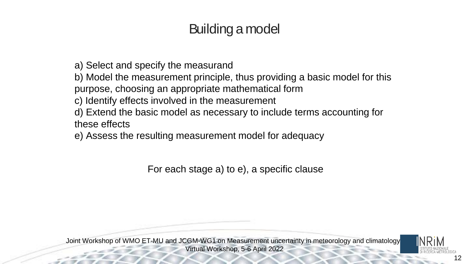## Building a model

a) Select and specify the measurand

b) Model the measurement principle, thus providing a basic model for this

purpose, choosing an appropriate mathematical form

- c) Identify effects involved in the measurement
- d) Extend the basic model as necessary to include terms accounting for these effects

e) Assess the resulting measurement model for adequacy

For each stage a) to e), a specific clause

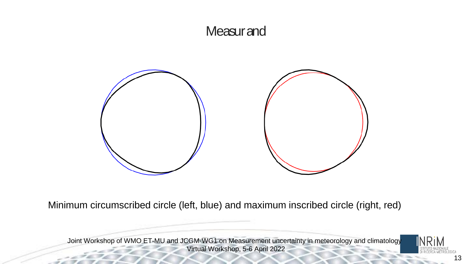#### **Measurand**



Minimum circumscribed circle (left, blue) and maximum inscribed circle (right, red)

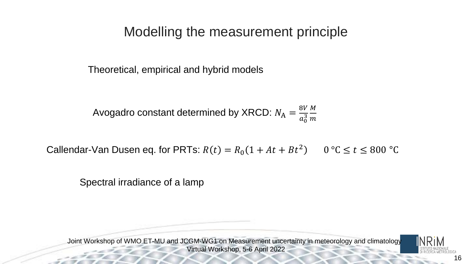### Modelling the measurement principle

Theoretical, empirical and hybrid models

Avogadro constant determined by XRCD:  $N_{\rm A}=\frac{8V}{a_{\rm A}^3}$  $a_0^3$ <u>M</u>  $\boldsymbol{m}$ 

Callendar-Van Dusen eq. for PRTs:  $R(t) = R_0(1 + At + Bt^2)$   $0 °C \le t \le 800 °C$ 

Spectral irradiance of a lamp

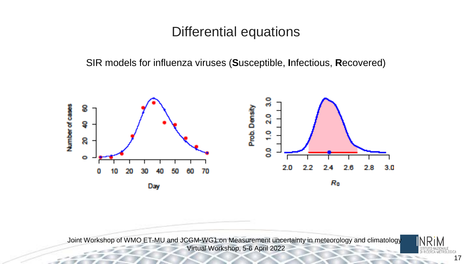#### Differential equations

SIR models for influenza viruses (**S**usceptible, **I**nfectious, **R**ecovered)







17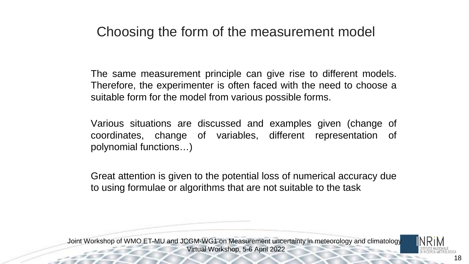### Choosing the form of the measurement model

The same measurement principle can give rise to different models. Therefore, the experimenter is often faced with the need to choose a suitable form for the model from various possible forms.

Various situations are discussed and examples given (change of coordinates, change of variables, different representation of polynomial functions…)

Great attention is given to the potential loss of numerical accuracy due to using formulae or algorithms that are not suitable to the task

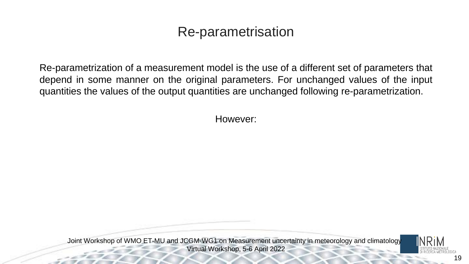### Re-parametrisation

Re-parametrization of a measurement model is the use of a different set of parameters that depend in some manner on the original parameters. For unchanged values of the input quantities the values of the output quantities are unchanged following re-parametrization.

However:

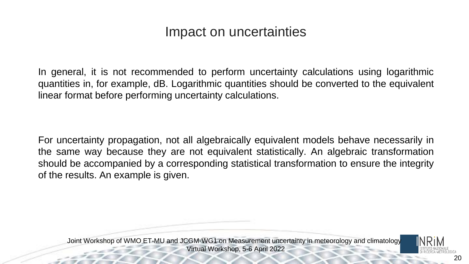### Impact on uncertainties

In general, it is not recommended to perform uncertainty calculations using logarithmic quantities in, for example, dB. Logarithmic quantities should be converted to the equivalent linear format before performing uncertainty calculations.

For uncertainty propagation, not all algebraically equivalent models behave necessarily in the same way because they are not equivalent statistically. An algebraic transformation should be accompanied by a corresponding statistical transformation to ensure the integrity of the results. An example is given.

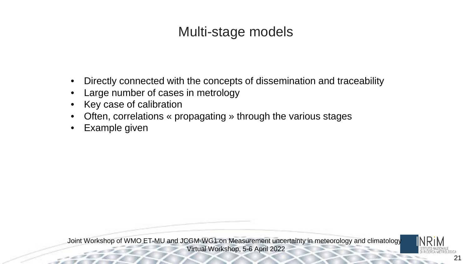# Multi-stage models

- Directly connected with the concepts of dissemination and traceability
- Large number of cases in metrology
- Key case of calibration
- Often, correlations « propagating » through the various stages
- Example given

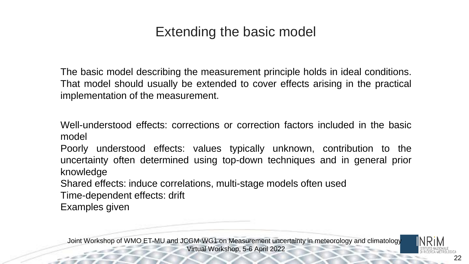# Extending the basic model

The basic model describing the measurement principle holds in ideal conditions. That model should usually be extended to cover effects arising in the practical implementation of the measurement.

Well-understood effects: corrections or correction factors included in the basic model

Poorly understood effects: values typically unknown, contribution to the uncertainty often determined using top-down techniques and in general prior knowledge

Shared effects: induce correlations, multi-stage models often used

Time-dependent effects: drift

Examples given

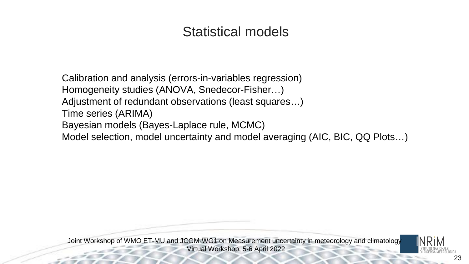# Statistical models

Calibration and analysis (errors-in-variables regression) Homogeneity studies (ANOVA, Snedecor-Fisher…) Adjustment of redundant observations (least squares…) Time series (ARIMA) Bayesian models (Bayes-Laplace rule, MCMC) Model selection, model uncertainty and model averaging (AIC, BIC, QQ Plots…)

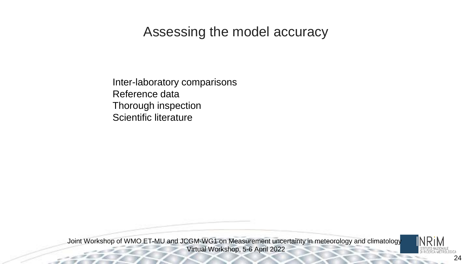### Assessing the model accuracy

Inter-laboratory comparisons Reference data Thorough inspection Scientific literature

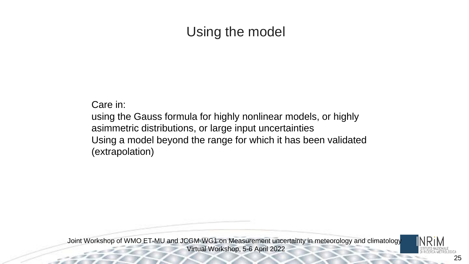## Using the model

Care in:

using the Gauss formula for highly nonlinear models, or highly asimmetric distributions, or large input uncertainties Using a model beyond the range for which it has been validated (extrapolation)

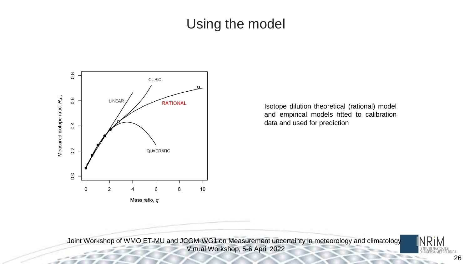### Using the model



Isotope dilution theoretical (rational) model and empirical models fitted to calibration data and used for prediction

Joint Workshop of WMO ET-MU and JCGM-WG1 on Measurement uncertainty in meteorology and climatology Virtual Workshop, 5-6 April 2022



26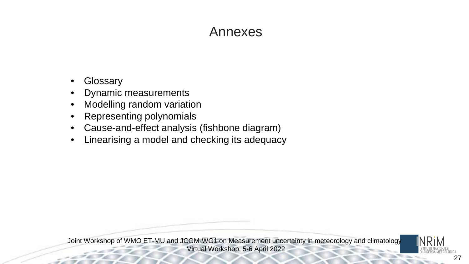### Annexes

- **Glossary**
- Dynamic measurements
- Modelling random variation
- Representing polynomials
- Cause-and-effect analysis (fishbone diagram)
- Linearising a model and checking its adequacy